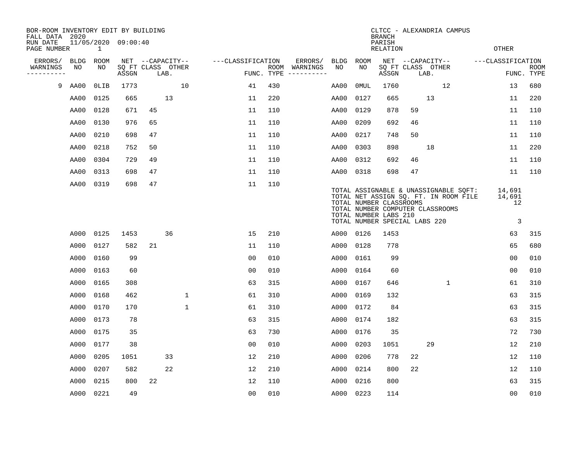| BOR-ROOM INVENTORY EDIT BY BUILDING<br>FALL DATA 2020 |           |              |                     |    |                           |                   |     |                                      |           |      | <b>BRANCH</b>                                                                     |    | CLTCC - ALEXANDRIA CAMPUS                                                                                          |                   |                      |                           |
|-------------------------------------------------------|-----------|--------------|---------------------|----|---------------------------|-------------------|-----|--------------------------------------|-----------|------|-----------------------------------------------------------------------------------|----|--------------------------------------------------------------------------------------------------------------------|-------------------|----------------------|---------------------------|
| RUN DATE<br>PAGE NUMBER                               |           | $\mathbf{1}$ | 11/05/2020 09:00:40 |    |                           |                   |     |                                      |           |      | PARISH<br>RELATION                                                                |    |                                                                                                                    | OTHER             |                      |                           |
| ERRORS/                                               | BLDG      | ROOM         |                     |    | NET --CAPACITY--          | ---CLASSIFICATION |     | ERRORS/                              | BLDG ROOM |      |                                                                                   |    | NET --CAPACITY--                                                                                                   | ---CLASSIFICATION |                      |                           |
| WARNINGS<br>----------                                | NO        | NO           | ASSGN               |    | SQ FT CLASS OTHER<br>LAB. |                   |     | ROOM WARNINGS<br>FUNC. TYPE $------$ | NO        | NO.  | ASSGN                                                                             |    | SQ FT CLASS OTHER<br>LAB.                                                                                          |                   |                      | <b>ROOM</b><br>FUNC. TYPE |
| 9                                                     | AA00      | OLIB         | 1773                |    | 10                        | 41                | 430 |                                      | AA00      | 0MUL | 1760                                                                              |    | 12                                                                                                                 |                   | 13                   | 680                       |
|                                                       | AA00      | 0125         | 665                 |    | 13                        | 11                | 220 |                                      | AA00      | 0127 | 665                                                                               |    | 13                                                                                                                 |                   | 11                   | 220                       |
|                                                       | AA00      | 0128         | 671                 | 45 |                           | 11                | 110 |                                      | AA00      | 0129 | 878                                                                               | 59 |                                                                                                                    |                   | 11                   | 110                       |
|                                                       | AA00      | 0130         | 976                 | 65 |                           | 11                | 110 |                                      | AA00      | 0209 | 692                                                                               | 46 |                                                                                                                    |                   | 11                   | 110                       |
|                                                       | AA00      | 0210         | 698                 | 47 |                           | 11                | 110 |                                      | AA00      | 0217 | 748                                                                               | 50 |                                                                                                                    |                   | 11                   | 110                       |
|                                                       | AA00      | 0218         | 752                 | 50 |                           | 11                | 110 |                                      | AA00      | 0303 | 898                                                                               |    | 18                                                                                                                 |                   | 11                   | 220                       |
|                                                       | AA00      | 0304         | 729                 | 49 |                           | 11                | 110 |                                      | AA00      | 0312 | 692                                                                               | 46 |                                                                                                                    |                   | 11                   | 110                       |
|                                                       | AA00      | 0313         | 698                 | 47 |                           | 11                | 110 |                                      | AA00      | 0318 | 698                                                                               | 47 |                                                                                                                    |                   | 11                   | 110                       |
|                                                       | AA00      | 0319         | 698                 | 47 |                           | 11                | 110 |                                      |           |      | TOTAL NUMBER CLASSROOMS<br>TOTAL NUMBER LABS 210<br>TOTAL NUMBER SPECIAL LABS 220 |    | TOTAL ASSIGNABLE & UNASSIGNABLE SQFT:<br>TOTAL NET ASSIGN SQ. FT. IN ROOM FILE<br>TOTAL NUMBER COMPUTER CLASSROOMS | 14,691<br>14,691  | 12<br>$\overline{3}$ |                           |
|                                                       | A000      | 0125         | 1453                |    | 36                        | 15                | 210 |                                      | A000 0126 |      | 1453                                                                              |    |                                                                                                                    |                   | 63                   | 315                       |
|                                                       | A000      | 0127         | 582                 | 21 |                           | 11                | 110 |                                      | A000      | 0128 | 778                                                                               |    |                                                                                                                    |                   | 65                   | 680                       |
|                                                       | A000      | 0160         | 99                  |    |                           | 0 <sub>0</sub>    | 010 |                                      | A000      | 0161 | 99                                                                                |    |                                                                                                                    |                   | 0 <sub>0</sub>       | 010                       |
|                                                       | A000      | 0163         | 60                  |    |                           | 0 <sub>0</sub>    | 010 |                                      | A000      | 0164 | 60                                                                                |    |                                                                                                                    |                   | 0 <sub>0</sub>       | 010                       |
|                                                       | A000      | 0165         | 308                 |    |                           | 63                | 315 |                                      | A000      | 0167 | 646                                                                               |    | $\mathbf{1}$                                                                                                       |                   | 61                   | 310                       |
|                                                       | A000      | 0168         | 462                 |    | $\mathbf 1$               | 61                | 310 |                                      | A000      | 0169 | 132                                                                               |    |                                                                                                                    |                   | 63                   | 315                       |
|                                                       | A000      | 0170         | 170                 |    | 1                         | 61                | 310 |                                      | A000      | 0172 | 84                                                                                |    |                                                                                                                    |                   | 63                   | 315                       |
|                                                       | A000      | 0173         | 78                  |    |                           | 63                | 315 |                                      | A000      | 0174 | 182                                                                               |    |                                                                                                                    |                   | 63                   | 315                       |
|                                                       | A000      | 0175         | 35                  |    |                           | 63                | 730 |                                      | A000      | 0176 | 35                                                                                |    |                                                                                                                    |                   | 72                   | 730                       |
|                                                       | A000      | 0177         | 38                  |    |                           | 0 <sub>0</sub>    | 010 |                                      | A000      | 0203 | 1051                                                                              |    | 29                                                                                                                 |                   | 12                   | 210                       |
|                                                       | A000      | 0205         | 1051                |    | 33                        | 12                | 210 |                                      | A000      | 0206 | 778                                                                               | 22 |                                                                                                                    |                   | 12                   | 110                       |
|                                                       | A000      | 0207         | 582                 |    | 22                        | 12                | 210 |                                      | A000      | 0214 | 800                                                                               | 22 |                                                                                                                    |                   | 12                   | 110                       |
|                                                       | A000      | 0215         | 800                 | 22 |                           | 12                | 110 |                                      | A000      | 0216 | 800                                                                               |    |                                                                                                                    |                   | 63                   | 315                       |
|                                                       | A000 0221 |              | 49                  |    |                           | 0 <sub>0</sub>    | 010 |                                      | A000 0223 |      | 114                                                                               |    |                                                                                                                    |                   | 00                   | 010                       |
|                                                       |           |              |                     |    |                           |                   |     |                                      |           |      |                                                                                   |    |                                                                                                                    |                   |                      |                           |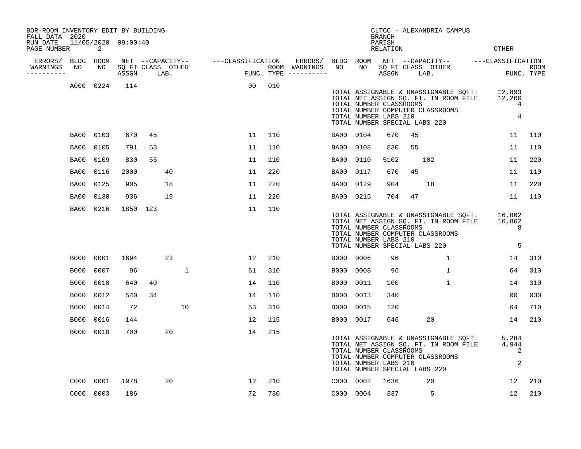| BOR-ROOM INVENTORY EDIT BY BUILDING<br>FALL DATA 2020<br>RUN DATE<br>PAGE NUMBER |             | 2         | 11/05/2020 09:00:40        |          |    |                                    |     |                                                           |             |                                                                                   | <b>BRANCH</b><br>PARISH<br><b>RELATION</b> |      | CLTCC - ALEXANDRIA CAMPUS                                                 |                                                                                | <b>OTHER</b>                                                                                           |                           |
|----------------------------------------------------------------------------------|-------------|-----------|----------------------------|----------|----|------------------------------------|-----|-----------------------------------------------------------|-------------|-----------------------------------------------------------------------------------|--------------------------------------------|------|---------------------------------------------------------------------------|--------------------------------------------------------------------------------|--------------------------------------------------------------------------------------------------------|---------------------------|
| ERRORS/ BLDG ROOM<br>WARNINGS<br>---------                                       | NO          | NO        | SQ FT CLASS OTHER<br>ASSGN | LAB.     |    | NET --CAPACITY-- ---CLASSIFICATION |     | ERRORS/ BLDG ROOM<br>ROOM WARNINGS<br>FUNC. TYPE $------$ | NO          | NO                                                                                | ASSGN                                      | LAB. | SQ FT CLASS OTHER                                                         |                                                                                | NET --CAPACITY-- ---CLASSIFICATION                                                                     | <b>ROOM</b><br>FUNC. TYPE |
|                                                                                  |             | A000 0224 | 114                        |          |    | 00                                 | 010 |                                                           |             | TOTAL NUMBER CLASSROOMS<br>TOTAL NUMBER LABS 210<br>TOTAL NUMBER SPECIAL LABS 220 |                                            |      | TOTAL NUMBER COMPUTER CLASSROOMS                                          |                                                                                | TOTAL ASSIGNABLE & UNASSIGNABLE SQFT: 12,893<br>TOTAL NET ASSIGN SQ. FT. IN ROOM FILE 12,260<br>4<br>4 |                           |
|                                                                                  | BA00        | 0103      | 670                        | 45       |    | 11                                 | 110 |                                                           | BA00 0104   |                                                                                   | 670                                        | 45   |                                                                           |                                                                                | 11                                                                                                     | 110                       |
|                                                                                  | BA00        | 0105      | 791                        | 53       |    | 11                                 | 110 |                                                           | BA00        | 0108                                                                              | 830                                        | 55   |                                                                           |                                                                                | 11                                                                                                     | 110                       |
|                                                                                  | BA00        | 0109      | 830                        | 55       |    | 11                                 | 110 |                                                           | BA00        | 0110                                                                              | 5102                                       |      | 102                                                                       |                                                                                | 11                                                                                                     | 220                       |
|                                                                                  | BA00        | 0116      | 2000                       |          | 40 | 11                                 | 220 |                                                           | BA00        | 0117                                                                              | 670                                        | 45   |                                                                           |                                                                                | 11                                                                                                     | 110                       |
|                                                                                  | BA00        | 0125      | 905                        |          | 18 | 11                                 | 220 |                                                           | BA00        | 0129                                                                              | 904                                        |      | 18                                                                        |                                                                                | 11                                                                                                     | 220                       |
|                                                                                  | BA00        | 0130      | 936                        |          | 19 | 11                                 | 220 |                                                           | BA00 0215   |                                                                                   | 704                                        | 47   |                                                                           |                                                                                | 11                                                                                                     | 110                       |
|                                                                                  | BA00        | 0216      |                            | 1850 123 |    | 11                                 | 110 |                                                           |             | TOTAL NUMBER CLASSROOMS<br>TOTAL NUMBER LABS 210<br>TOTAL NUMBER SPECIAL LABS 220 |                                            |      | TOTAL NUMBER COMPUTER CLASSROOMS                                          | TOTAL ASSIGNABLE & UNASSIGNABLE SQFT:<br>TOTAL NET ASSIGN SQ. FT. IN ROOM FILE | 16,862<br>16,862<br>8<br>5                                                                             |                           |
|                                                                                  | B000        | 0001      | 1694                       |          | 23 | 12                                 | 210 |                                                           | B000 0006   |                                                                                   | 96                                         |      | $\mathbf{1}$                                                              |                                                                                | 14                                                                                                     | 310                       |
|                                                                                  | <b>B000</b> | 0007      | 96                         |          |    | 1<br>61                            | 310 |                                                           | <b>B000</b> | 0008                                                                              | 96                                         |      | $\mathbf{1}$                                                              |                                                                                | 64                                                                                                     | 310                       |
|                                                                                  | B000        | 0010      | 640                        | 40       |    | 14                                 | 110 |                                                           | B000        | 0011                                                                              | 100                                        |      | $\mathbf{1}$                                                              |                                                                                | 14                                                                                                     | 310                       |
|                                                                                  | <b>B000</b> | 0012      | 540                        | 34       |    | 14                                 | 110 |                                                           | <b>B000</b> | 0013                                                                              | 340                                        |      |                                                                           |                                                                                | 0 <sub>0</sub>                                                                                         | 030                       |
|                                                                                  | B000        | 0014      | 72                         |          | 10 | 53                                 | 310 |                                                           | B000        | 0015                                                                              | 120                                        |      |                                                                           |                                                                                | 64                                                                                                     | 710                       |
|                                                                                  | B000        | 0016      | 144                        |          |    | 12                                 | 115 |                                                           | B000 0017   |                                                                                   | 646                                        |      | 20                                                                        |                                                                                | 14                                                                                                     | 210                       |
|                                                                                  |             | B000 0018 | 700                        |          | 20 | 14                                 | 215 |                                                           |             | TOTAL NUMBER CLASSROOMS<br>TOTAL NUMBER LABS 210<br>TOTAL NUMBER SPECIAL LABS 220 |                                            |      | TOTAL NET ASSIGN SQ. FT. IN ROOM FILE<br>TOTAL NUMBER COMPUTER CLASSROOMS | TOTAL ASSIGNABLE & UNASSIGNABLE SQFT:                                          | 5,284<br>4,944<br>2<br>2                                                                               |                           |
|                                                                                  | C000        | 0001      | 1978                       |          | 20 | 12                                 | 210 |                                                           | C000 0002   |                                                                                   | 1636                                       |      | 20                                                                        |                                                                                | 12                                                                                                     | 210                       |
|                                                                                  |             | C000 0003 | 186                        |          |    | 72                                 | 730 |                                                           | C000 0004   |                                                                                   | 337                                        |      | 5                                                                         |                                                                                | $12 \overline{ }$                                                                                      | 210                       |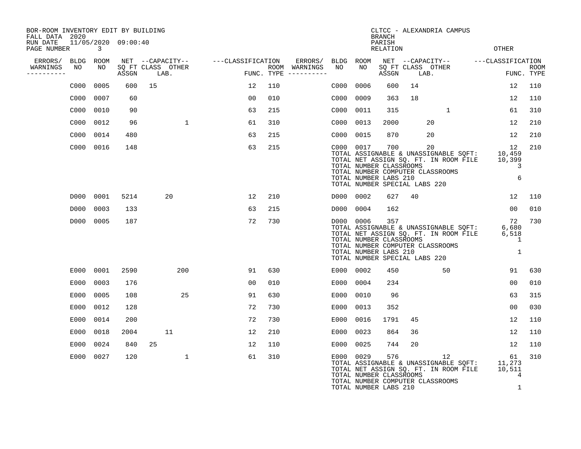| BOR-ROOM INVENTORY EDIT BY BUILDING<br>FALL DATA 2020 |                                     |       |                           |                   |     |                                        |      |           | <b>BRANCH</b>                                           |                               | CLTCC - ALEXANDRIA CAMPUS                                                                                                       |                                    |                           |
|-------------------------------------------------------|-------------------------------------|-------|---------------------------|-------------------|-----|----------------------------------------|------|-----------|---------------------------------------------------------|-------------------------------|---------------------------------------------------------------------------------------------------------------------------------|------------------------------------|---------------------------|
| RUN DATE<br>PAGE NUMBER                               | 11/05/2020 09:00:40<br>$\mathbf{3}$ |       |                           |                   |     |                                        |      |           | PARISH<br><b>RELATION</b>                               |                               |                                                                                                                                 | <b>OTHER</b>                       |                           |
| ERRORS/                                               | BLDG ROOM                           |       | NET --CAPACITY--          | ---CLASSIFICATION |     | ERRORS/                                |      | BLDG ROOM |                                                         |                               |                                                                                                                                 | NET --CAPACITY-- ---CLASSIFICATION |                           |
| WARNINGS<br>NO<br>----------                          | NO                                  | ASSGN | SQ FT CLASS OTHER<br>LAB. |                   |     | ROOM WARNINGS<br>FUNC. TYPE ---------- | NO   | NO        | ASSGN                                                   | SQ FT CLASS OTHER<br>LAB.     |                                                                                                                                 |                                    | <b>ROOM</b><br>FUNC. TYPE |
| C000                                                  | 0005                                | 600   | 15                        | 12                | 110 |                                        | C000 | 0006      | 600                                                     | 14                            |                                                                                                                                 | 12                                 | 110                       |
| C000                                                  | 0007                                | 60    |                           | 00                | 010 |                                        | C000 | 0009      | 363                                                     | 18                            |                                                                                                                                 | 12                                 | 110                       |
| C000                                                  | 0010                                | 90    |                           | 63                | 215 |                                        | C000 | 0011      | 315                                                     |                               | 1                                                                                                                               | 61                                 | 310                       |
| C000                                                  | 0012                                | 96    | $\mathbf{1}$              | 61                | 310 |                                        | C000 | 0013      | 2000                                                    |                               | 20                                                                                                                              | 12                                 | 210                       |
| C000                                                  | 0014                                | 480   |                           | 63                | 215 |                                        | C000 | 0015      | 870                                                     |                               | 20                                                                                                                              | 12                                 | 210                       |
|                                                       | C000 0016                           | 148   |                           | 63                | 215 |                                        |      | C000 0017 | 700<br>TOTAL NUMBER CLASSROOMS<br>TOTAL NUMBER LABS 210 | TOTAL NUMBER SPECIAL LABS 220 | 20<br>TOTAL ASSIGNABLE & UNASSIGNABLE SOFT: 10,459<br>TOTAL NET ASSIGN SQ. FT. IN ROOM FILE<br>TOTAL NUMBER COMPUTER CLASSROOMS | 12<br>10,399<br>3<br>6             | 210                       |
|                                                       | D000 0001                           | 5214  | 20                        | 12                | 210 |                                        |      | D000 0002 | 627                                                     | 40                            |                                                                                                                                 | 12                                 | 110                       |
| D000                                                  | 0003                                | 133   |                           | 63                | 215 |                                        | D000 | 0004      | 162                                                     |                               |                                                                                                                                 | 00                                 | 010                       |
|                                                       | D000 0005                           | 187   |                           | 72                | 730 |                                        |      | D000 0006 | 357<br>TOTAL NUMBER CLASSROOMS<br>TOTAL NUMBER LABS 210 | TOTAL NUMBER SPECIAL LABS 220 | TOTAL ASSIGNABLE & UNASSIGNABLE SQFT:<br>TOTAL NET ASSIGN SQ. FT. IN ROOM FILE<br>TOTAL NUMBER COMPUTER CLASSROOMS              | 72<br>6,680<br>6,518<br>1<br>1     | 730                       |
|                                                       | E000 0001                           | 2590  | 200                       | 91                | 630 |                                        |      | E000 0002 | 450                                                     |                               | 50                                                                                                                              | 91                                 | 630                       |
| E000                                                  | 0003                                | 176   |                           | 0 <sub>0</sub>    | 010 |                                        | E000 | 0004      | 234                                                     |                               |                                                                                                                                 | 0 <sub>0</sub>                     | 010                       |
| E000                                                  | 0005                                | 108   | 25                        | 91                | 630 |                                        | E000 | 0010      | 96                                                      |                               |                                                                                                                                 | 63                                 | 315                       |
| E000                                                  | 0012                                | 128   |                           | 72                | 730 |                                        | E000 | 0013      | 352                                                     |                               |                                                                                                                                 | 0 <sub>0</sub>                     | 030                       |
| E000                                                  | 0014                                | 200   |                           | 72                | 730 |                                        | E000 | 0016      | 1791                                                    | 45                            |                                                                                                                                 | 12                                 | 110                       |
| E000                                                  | 0018                                | 2004  | 11                        | 12                | 210 |                                        | E000 | 0023      | 864                                                     | 36                            |                                                                                                                                 | 12                                 | 110                       |
| E000                                                  | 0024                                | 840   | 25                        | 12                | 110 |                                        | E000 | 0025      | 744                                                     | 20                            |                                                                                                                                 | 12                                 | 110                       |
|                                                       | E000 0027                           | 120   | 1                         | 61                | 310 |                                        |      | E000 0029 | 576<br>TOTAL NUMBER CLASSROOMS                          |                               | 12<br>TOTAL ASSIGNABLE & UNASSIGNABLE SQFT:<br>TOTAL NET ASSIGN SQ. FT. IN ROOM FILE<br>TOTAL NUMBER COMPUTER CLASSROOMS        | 61<br>11,273<br>10,511<br>4        | 310                       |

TOTAL NUMBER LABS 210 1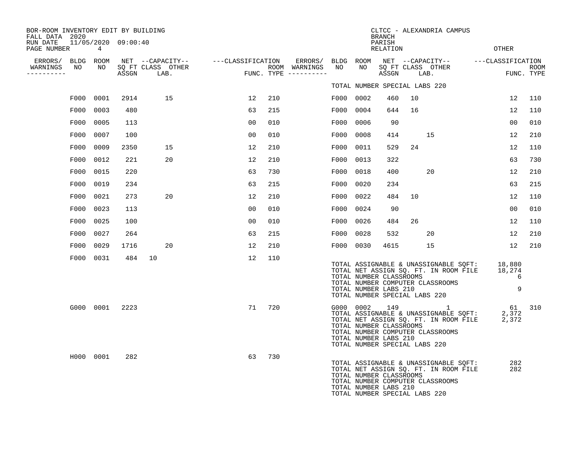| BOR-ROOM INVENTORY EDIT BY BUILDING<br>FALL DATA 2020 |           |                     |                           |                                    | CLTCC - ALEXANDRIA CAMPUS<br><b>BRANCH</b> |                                      |           |                                                                                   |                    |    |                                                                                                                    |                                    |                |                    |
|-------------------------------------------------------|-----------|---------------------|---------------------------|------------------------------------|--------------------------------------------|--------------------------------------|-----------|-----------------------------------------------------------------------------------|--------------------|----|--------------------------------------------------------------------------------------------------------------------|------------------------------------|----------------|--------------------|
| RUN DATE<br>PAGE NUMBER                               | 4         | 11/05/2020 09:00:40 |                           |                                    |                                            |                                      |           |                                                                                   | PARISH<br>RELATION |    |                                                                                                                    | OTHER                              |                |                    |
| ERRORS/                                               | BLDG ROOM |                     |                           | NET --CAPACITY-- ---CLASSIFICATION |                                            | ERRORS/                              | BLDG      | ROOM                                                                              |                    |    |                                                                                                                    | NET --CAPACITY-- ---CLASSIFICATION |                |                    |
| WARNINGS<br>NO<br>. _ _ _ _ _ _ _ _ _                 | NO        | ASSGN               | SQ FT CLASS OTHER<br>LAB. |                                    |                                            | ROOM WARNINGS<br>FUNC. TYPE $------$ | NO        | NO                                                                                | ASSGN              |    | SQ FT CLASS OTHER<br>LAB.                                                                                          |                                    |                | ROOM<br>FUNC. TYPE |
|                                                       |           |                     |                           |                                    |                                            |                                      |           | TOTAL NUMBER SPECIAL LABS 220                                                     |                    |    |                                                                                                                    |                                    |                |                    |
| F000                                                  | 0001      | 2914                | 15                        | 12                                 | 210                                        |                                      | F000      | 0002                                                                              | 460                | 10 |                                                                                                                    | 12                                 |                | 110                |
| F000                                                  | 0003      | 480                 |                           | 63                                 | 215                                        |                                      | F000      | 0004                                                                              | 644                | 16 |                                                                                                                    | 12                                 |                | 110                |
| F000                                                  | 0005      | 113                 |                           | 00                                 | 010                                        |                                      | F000      | 0006                                                                              | 90                 |    |                                                                                                                    |                                    | 00             | 010                |
| F000                                                  | 0007      | 100                 |                           | 00                                 | 010                                        |                                      | F000      | 0008                                                                              | 414                |    | 15                                                                                                                 | 12                                 |                | 210                |
| F000                                                  | 0009      | 2350                | 15                        | 12                                 | 210                                        |                                      | F000      | 0011                                                                              | 529                | 24 |                                                                                                                    | 12                                 |                | 110                |
| F000                                                  | 0012      | 221                 | 20                        | 12                                 | 210                                        |                                      | F000      | 0013                                                                              | 322                |    |                                                                                                                    |                                    | 63             | 730                |
| F000                                                  | 0015      | 220                 |                           | 63                                 | 730                                        |                                      | F000      | 0018                                                                              | 400                |    | 20                                                                                                                 | 12                                 |                | 210                |
| F000                                                  | 0019      | 234                 |                           | 63                                 | 215                                        |                                      | F000      | 0020                                                                              | 234                |    |                                                                                                                    |                                    | 63             | 215                |
| F000                                                  | 0021      | 273                 | 20                        | 12                                 | 210                                        |                                      | F000      | 0022                                                                              | 484                | 10 |                                                                                                                    | 12                                 |                | 110                |
| F000                                                  | 0023      | 113                 |                           | 00                                 | 010                                        |                                      | F000      | 0024                                                                              | 90                 |    |                                                                                                                    |                                    | 0 <sub>0</sub> | 010                |
| F000                                                  | 0025      | 100                 |                           | 00                                 | 010                                        |                                      | F000      | 0026                                                                              | 484                | 26 |                                                                                                                    | 12                                 |                | 110                |
| F000                                                  | 0027      | 264                 |                           | 63                                 | 215                                        |                                      | F000      | 0028                                                                              | 532                |    | 20                                                                                                                 | 12                                 |                | 210                |
| F000                                                  | 0029      | 1716                | 20                        | 12                                 | 210                                        |                                      | F000      | 0030                                                                              | 4615               |    | 15                                                                                                                 | 12                                 |                | 210                |
|                                                       | F000 0031 | 484                 | 10                        | 12                                 | 110                                        |                                      |           | TOTAL NUMBER CLASSROOMS<br>TOTAL NUMBER LABS 210<br>TOTAL NUMBER SPECIAL LABS 220 |                    |    | TOTAL ASSIGNABLE & UNASSIGNABLE SQFT:<br>TOTAL NET ASSIGN SQ. FT. IN ROOM FILE<br>TOTAL NUMBER COMPUTER CLASSROOMS | 18,880<br>18,274                   | 6<br>9         |                    |
|                                                       | G000 0001 | 2223                |                           | 71                                 | 720                                        |                                      | G000 0002 | TOTAL NUMBER CLASSROOMS<br>TOTAL NUMBER LABS 210<br>TOTAL NUMBER SPECIAL LABS 220 | 149                |    | TOTAL ASSIGNABLE & UNASSIGNABLE SQFT:<br>TOTAL NET ASSIGN SQ. FT. IN ROOM FILE<br>TOTAL NUMBER COMPUTER CLASSROOMS | 2,372<br>2,372                     | 61             | 310                |
|                                                       | H000 0001 | 282                 |                           | 63                                 | 730                                        |                                      |           | TOTAL NUMBER CLASSROOMS<br>TOTAL NUMBER LABS 210<br>TOTAL NUMBER SPECIAL LABS 220 |                    |    | TOTAL ASSIGNABLE & UNASSIGNABLE SQFT:<br>TOTAL NET ASSIGN SQ. FT. IN ROOM FILE<br>TOTAL NUMBER COMPUTER CLASSROOMS |                                    | 282<br>282     |                    |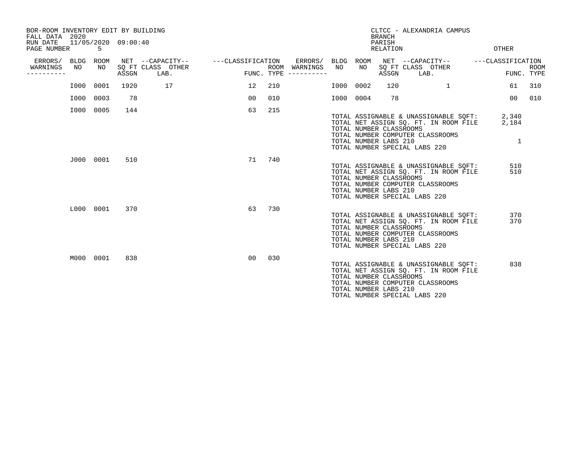| BOR-ROOM INVENTORY EDIT BY BUILDING<br>FALL DATA 2020<br>RUN DATE<br>PAGE NUMBER |            | 11/05/2020 09:00:40<br>5 |       |                                               |                   |                    |                          |      |            | <b>BRANCH</b><br>PARISH<br>RELATION              | CLTCC - ALEXANDRIA CAMPUS                                                                                                                           | <b>OTHER</b>                   |                           |
|----------------------------------------------------------------------------------|------------|--------------------------|-------|-----------------------------------------------|-------------------|--------------------|--------------------------|------|------------|--------------------------------------------------|-----------------------------------------------------------------------------------------------------------------------------------------------------|--------------------------------|---------------------------|
| ERRORS/<br>WARNINGS<br>.                                                         | BLDG<br>NO | ROOM<br>NO               | ASSGN | NET --CAPACITY--<br>SQ FT CLASS OTHER<br>LAB. | ---CLASSIFICATION | ROOM<br>FUNC. TYPE | ERRORS/ BLDG<br>WARNINGS | NO   | ROOM<br>NO | ASSGN                                            | NET --CAPACITY--<br>SQ FT CLASS OTHER<br>LAB.                                                                                                       | ---CLASSIFICATION              | <b>ROOM</b><br>FUNC. TYPE |
|                                                                                  | I000       | 0001                     | 1920  | 17                                            | 12                | 210                |                          | I000 | 0002       | 120                                              | 1                                                                                                                                                   | 61                             | 310                       |
|                                                                                  | I000       | 0003                     | 78    |                                               | 0 <sub>0</sub>    | 010                |                          | I000 | 0004       | 78                                               |                                                                                                                                                     | 0 <sub>0</sub>                 | 010                       |
|                                                                                  | I000       | 0005                     | 144   |                                               | 63                | 215                |                          |      |            | TOTAL NUMBER CLASSROOMS<br>TOTAL NUMBER LABS 210 | TOTAL ASSIGNABLE & UNASSIGNABLE SQFT:<br>TOTAL NET ASSIGN SQ. FT. IN ROOM FILE<br>TOTAL NUMBER COMPUTER CLASSROOMS<br>TOTAL NUMBER SPECIAL LABS 220 | 2,340<br>2,184<br>$\mathbf{1}$ |                           |
|                                                                                  |            | J000 0001                | 510   |                                               | 71                | 740                |                          |      |            | TOTAL NUMBER CLASSROOMS<br>TOTAL NUMBER LABS 210 | TOTAL ASSIGNABLE & UNASSIGNABLE SQFT:<br>TOTAL NET ASSIGN SQ. FT. IN ROOM FILE<br>TOTAL NUMBER COMPUTER CLASSROOMS<br>TOTAL NUMBER SPECIAL LABS 220 | 510<br>510                     |                           |
|                                                                                  |            | L000 0001                | 370   |                                               | 63                | 730                |                          |      |            | TOTAL NUMBER CLASSROOMS<br>TOTAL NUMBER LABS 210 | TOTAL ASSIGNABLE & UNASSIGNABLE SOFT:<br>TOTAL NET ASSIGN SQ. FT. IN ROOM FILE<br>TOTAL NUMBER COMPUTER CLASSROOMS<br>TOTAL NUMBER SPECIAL LABS 220 | 370<br>370                     |                           |
|                                                                                  |            | M000 0001                | 838   |                                               | 00                | 030                |                          |      |            | TOTAL NUMBER CLASSROOMS<br>TOTAL NUMBER LABS 210 | TOTAL ASSIGNABLE & UNASSIGNABLE SQFT:<br>TOTAL NET ASSIGN SQ. FT. IN ROOM FILE<br>TOTAL NUMBER COMPUTER CLASSROOMS<br>TOTAL NUMBER SPECIAL LABS 220 | 838                            |                           |